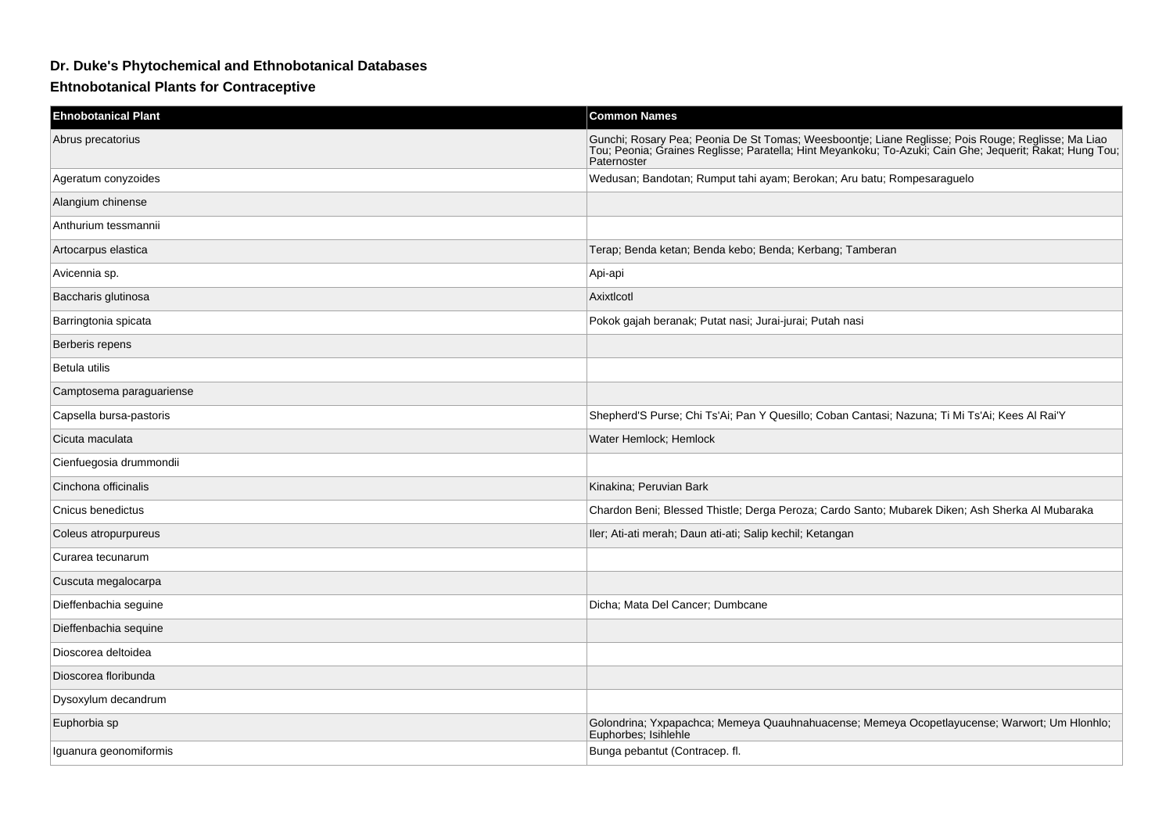## **Dr. Duke's Phytochemical and Ethnobotanical Databases**

## **Ehtnobotanical Plants for Contraceptive**

| <b>Ehnobotanical Plant</b> | <b>Common Names</b>                                                                                                                                                                                                           |
|----------------------------|-------------------------------------------------------------------------------------------------------------------------------------------------------------------------------------------------------------------------------|
| Abrus precatorius          | Gunchi; Rosary Pea; Peonia De St Tomas; Weesboontje; Liane Reglisse; Pois Rouge; Reglisse; Ma Liao<br>Tou; Peonia; Graines Reglisse; Paratella; Hint Meyankoku; To-Azuki; Cain Ghe; Jequerit; Rakat; Hung Tou;<br>Paternoster |
| Ageratum conyzoides        | Wedusan; Bandotan; Rumput tahi ayam; Berokan; Aru batu; Rompesaraguelo                                                                                                                                                        |
| Alangium chinense          |                                                                                                                                                                                                                               |
| Anthurium tessmannii       |                                                                                                                                                                                                                               |
| Artocarpus elastica        | Terap; Benda ketan; Benda kebo; Benda; Kerbang; Tamberan                                                                                                                                                                      |
| Avicennia sp.              | Api-api                                                                                                                                                                                                                       |
| Baccharis glutinosa        | Axixtlcotl                                                                                                                                                                                                                    |
| Barringtonia spicata       | Pokok gajah beranak; Putat nasi; Jurai-jurai; Putah nasi                                                                                                                                                                      |
| Berberis repens            |                                                                                                                                                                                                                               |
| Betula utilis              |                                                                                                                                                                                                                               |
| Camptosema paraguariense   |                                                                                                                                                                                                                               |
| Capsella bursa-pastoris    | Shepherd'S Purse; Chi Ts'Ai; Pan Y Quesillo; Coban Cantasi; Nazuna; Ti Mi Ts'Ai; Kees Al Rai'Y                                                                                                                                |
| Cicuta maculata            | Water Hemlock; Hemlock                                                                                                                                                                                                        |
| Cienfuegosia drummondii    |                                                                                                                                                                                                                               |
| Cinchona officinalis       | Kinakina; Peruvian Bark                                                                                                                                                                                                       |
| Cnicus benedictus          | Chardon Beni; Blessed Thistle; Derga Peroza; Cardo Santo; Mubarek Diken; Ash Sherka Al Mubaraka                                                                                                                               |
| Coleus atropurpureus       | Iler; Ati-ati merah; Daun ati-ati; Salip kechil; Ketangan                                                                                                                                                                     |
| Curarea tecunarum          |                                                                                                                                                                                                                               |
| Cuscuta megalocarpa        |                                                                                                                                                                                                                               |
| Dieffenbachia seguine      | Dicha; Mata Del Cancer; Dumbcane                                                                                                                                                                                              |
| Dieffenbachia sequine      |                                                                                                                                                                                                                               |
| Dioscorea deltoidea        |                                                                                                                                                                                                                               |
| Dioscorea floribunda       |                                                                                                                                                                                                                               |
| Dysoxylum decandrum        |                                                                                                                                                                                                                               |
| Euphorbia sp               | Golondrina; Yxpapachca; Memeya Quauhnahuacense; Memeya Ocopetlayucense; Warwort; Um Hlonhlo;<br>Euphorbes; Isihlehle                                                                                                          |
| Iguanura geonomiformis     | Bunga pebantut (Contracep. fl.                                                                                                                                                                                                |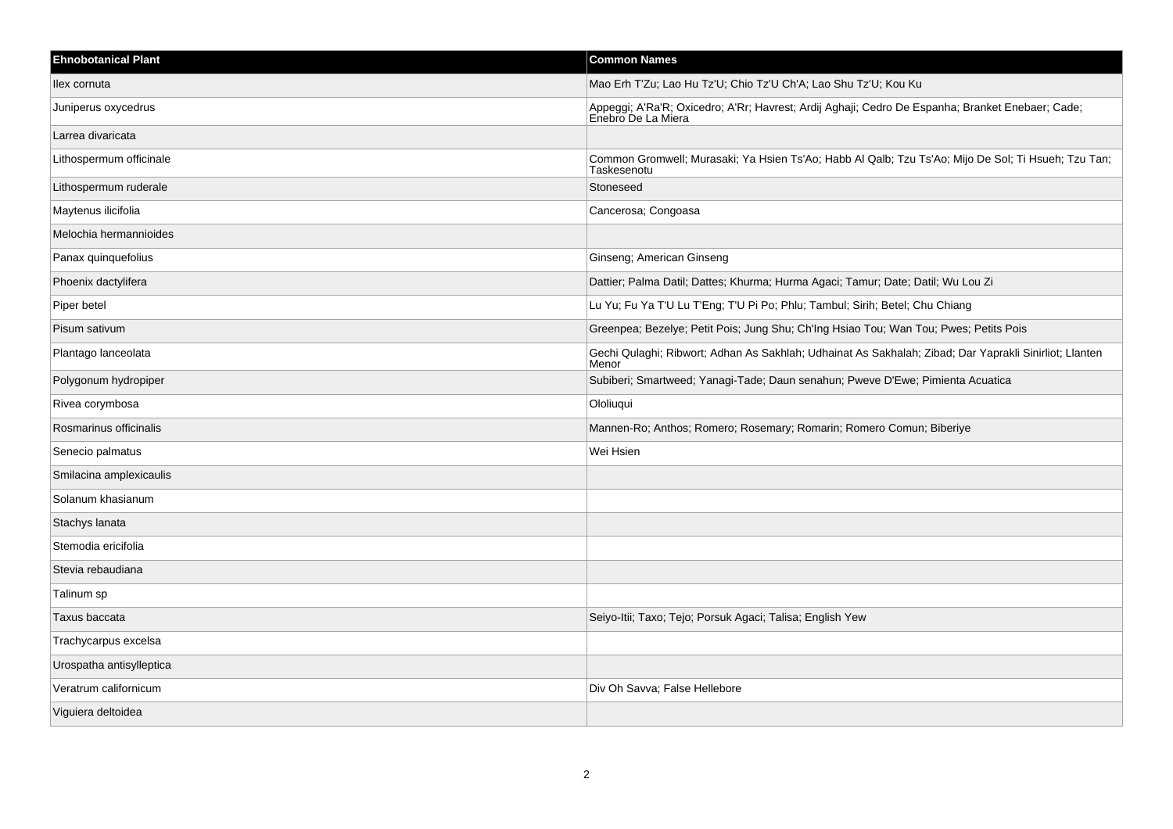| <b>Ehnobotanical Plant</b> | <b>Common Names</b>                                                                                                    |
|----------------------------|------------------------------------------------------------------------------------------------------------------------|
| llex cornuta               | Mao Erh T'Zu; Lao Hu Tz'U; Chio Tz'U Ch'A; Lao Shu Tz'U; Kou Ku                                                        |
| Juniperus oxycedrus        | Appeggi; A'Ra'R; Oxicedro; A'Rr; Havrest; Ardij Aghaji; Cedro De Espanha; Branket Enebaer; Cade;<br>Enebro De La Miera |
| Larrea divaricata          |                                                                                                                        |
| Lithospermum officinale    | Common Gromwell; Murasaki; Ya Hsien Ts'Ao; Habb Al Qalb; Tzu Ts'Ao; Mijo De Sol; Ti Hsueh; Tzu Tan;<br>Taskesenotu     |
| Lithospermum ruderale      | Stoneseed                                                                                                              |
| Maytenus ilicifolia        | Cancerosa; Congoasa                                                                                                    |
| Melochia hermannioides     |                                                                                                                        |
| Panax quinquefolius        | Ginseng; American Ginseng                                                                                              |
| Phoenix dactylifera        | Dattier; Palma Datil; Dattes; Khurma; Hurma Agaci; Tamur; Date; Datil; Wu Lou Zi                                       |
| Piper betel                | Lu Yu; Fu Ya T'U Lu T'Eng; T'U Pi Po; Phlu; Tambul; Sirih; Betel; Chu Chiang                                           |
| Pisum sativum              | Greenpea; Bezelye; Petit Pois; Jung Shu; Ch'Ing Hsiao Tou; Wan Tou; Pwes; Petits Pois                                  |
| Plantago lanceolata        | Gechi Qulaghi; Ribwort; Adhan As Sakhlah; Udhainat As Sakhalah; Zibad; Dar Yaprakli Sinirliot; Llanten<br>Menor        |
| Polygonum hydropiper       | Subiberi; Smartweed; Yanagi-Tade; Daun senahun; Pweve D'Ewe; Pimienta Acuatica                                         |
| Rivea corymbosa            | Ololiuqui                                                                                                              |
| Rosmarinus officinalis     | Mannen-Ro; Anthos; Romero; Rosemary; Romarin; Romero Comun; Biberiye                                                   |
| Senecio palmatus           | Wei Hsien                                                                                                              |
| Smilacina amplexicaulis    |                                                                                                                        |
| Solanum khasianum          |                                                                                                                        |
| Stachys lanata             |                                                                                                                        |
| Stemodia ericifolia        |                                                                                                                        |
| Stevia rebaudiana          |                                                                                                                        |
| Talinum sp                 |                                                                                                                        |
| Taxus baccata              | Seiyo-Itii; Taxo; Tejo; Porsuk Agaci; Talisa; English Yew                                                              |
| Trachycarpus excelsa       |                                                                                                                        |
| Urospatha antisylleptica   |                                                                                                                        |
| Veratrum californicum      | Div Oh Savva; False Hellebore                                                                                          |
| Viguiera deltoidea         |                                                                                                                        |